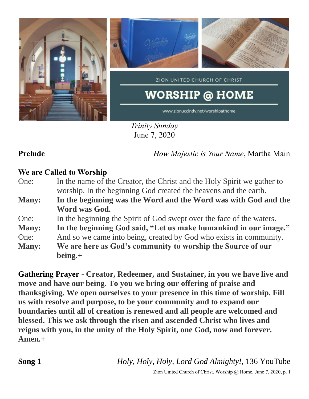

*Trinity Sunday* June 7, 2020

**Prelude** *How Majestic is Your Name*, Martha Main

# **We are Called to Worship**

- One: In the name of the Creator, the Christ and the Holy Spirit we gather to worship. In the beginning God created the heavens and the earth.
- **Many: In the beginning was the Word and the Word was with God and the Word was God.**
- One: In the beginning the Spirit of God swept over the face of the waters.
- **Many: In the beginning God said, "Let us make humankind in our image."**
- One: And so we came into being, created by God who exists in community.
- **Many: We are here as God's community to worship the Source of our being.+**

**Gathering Prayer** - **Creator, Redeemer, and Sustainer, in you we have live and move and have our being. To you we bring our offering of praise and thanksgiving. We open ourselves to your presence in this time of worship. Fill us with resolve and purpose, to be your community and to expand our boundaries until all of creation is renewed and all people are welcomed and blessed. This we ask through the risen and ascended Christ who lives and reigns with you, in the unity of the Holy Spirit, one God, now and forever. Amen.+**

**Song 1** *Holy, Holy, Holy, Lord God Almighty!*, 136 YouTube

Zion United Church of Christ, Worship @ Home, June 7, 2020, p. 1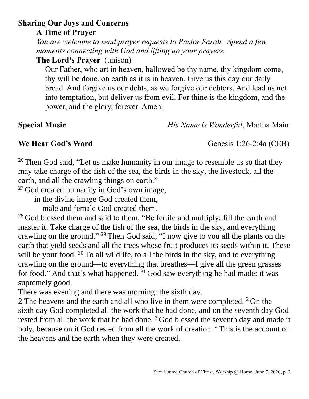Zion United Church of Christ, Worship @ Home, June 7, 2020, p. 2

# **Sharing Our Joys and Concerns**

**A Time of Prayer**

*You are welcome to send prayer requests to Pastor Sarah. Spend a few moments connecting with God and lifting up your prayers.*

**The Lord's Prayer** (unison)

Our Father, who art in heaven, hallowed be thy name, thy kingdom come, thy will be done, on earth as it is in heaven. Give us this day our daily bread. And forgive us our debts, as we forgive our debtors. And lead us not into temptation, but deliver us from evil. For thine is the kingdom, and the power, and the glory, forever. Amen.

### **Special Music** *His Name is Wonderful*, Martha Main

## **We Hear God's Word** Genesis 1:26-2:4a (CEB)

<sup>26</sup> Then God said, "Let us make humanity in our image to resemble us so that they may take charge of the fish of the sea, the birds in the sky, the livestock, all the earth, and all the crawling things on earth."

<sup>27</sup> God created humanity in God's own image,

in the divine image God created them,

male and female God created them.

<sup>28</sup> God blessed them and said to them, "Be fertile and multiply; fill the earth and master it. Take charge of the fish of the sea, the birds in the sky, and everything crawling on the ground." <sup>29</sup> Then God said, "I now give to you all the plants on the earth that yield seeds and all the trees whose fruit produces its seeds within it. These will be your food.  $30$  To all wildlife, to all the birds in the sky, and to everything crawling on the ground—to everything that breathes—I give all the green grasses for food." And that's what happened.  $31$  God saw everything he had made: it was supremely good.

There was evening and there was morning: the sixth day.

2 The heavens and the earth and all who live in them were completed.  $2$  On the sixth day God completed all the work that he had done, and on the seventh day God rested from all the work that he had done.<sup>3</sup> God blessed the seventh day and made it holy, because on it God rested from all the work of creation. <sup>4</sup> This is the account of the heavens and the earth when they were created.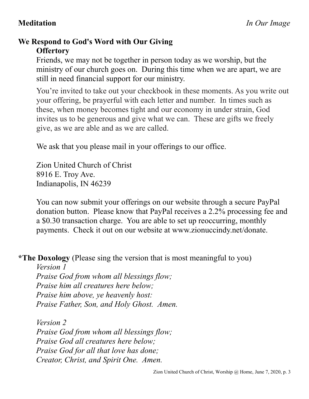# **We Respond to God's Word with Our Giving Offertory**

Friends, we may not be together in person today as we worship, but the ministry of our church goes on. During this time when we are apart, we are still in need financial support for our ministry.

You're invited to take out your checkbook in these moments. As you write out your offering, be prayerful with each letter and number. In times such as these, when money becomes tight and our economy in under strain, God invites us to be generous and give what we can. These are gifts we freely give, as we are able and as we are called.

We ask that you please mail in your offerings to our office.

Zion United Church of Christ 8916 E. Troy Ave. Indianapolis, IN 46239

You can now submit your offerings on our website through a secure PayPal donation button. Please know that PayPal receives a 2.2% processing fee and a \$0.30 transaction charge. You are able to set up reoccurring, monthly payments. Check it out on our website at www.zionuccindy.net/donate.

**\*The Doxology** (Please sing the version that is most meaningful to you)

*Version 1 Praise God from whom all blessings flow; Praise him all creatures here below; Praise him above, ye heavenly host: Praise Father, Son, and Holy Ghost. Amen.*

*Version 2 Praise God from whom all blessings flow; Praise God all creatures here below; Praise God for all that love has done; Creator, Christ, and Spirit One. Amen.*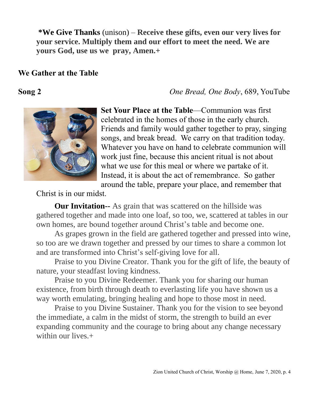**\*We Give Thanks** (unison) – **Receive these gifts, even our very lives for your service. Multiply them and our effort to meet the need. We are yours God, use us we pray, Amen.+**

### **We Gather at the Table**

**Song 2** *One Bread, One Body*, 689, YouTube



**Set Your Place at the Table**—Communion was first celebrated in the homes of those in the early church. Friends and family would gather together to pray, singing songs, and break bread. We carry on that tradition today. Whatever you have on hand to celebrate communion will work just fine, because this ancient ritual is not about what we use for this meal or where we partake of it. Instead, it is about the act of remembrance. So gather around the table, prepare your place, and remember that

Christ is in our midst.

**Our Invitation--** As grain that was scattered on the hillside was gathered together and made into one loaf, so too, we, scattered at tables in our own homes, are bound together around Christ's table and become one.

As grapes grown in the field are gathered together and pressed into wine, so too are we drawn together and pressed by our times to share a common lot and are transformed into Christ's self-giving love for all.

Praise to you Divine Creator. Thank you for the gift of life, the beauty of nature, your steadfast loving kindness.

Praise to you Divine Redeemer. Thank you for sharing our human existence, from birth through death to everlasting life you have shown us a way worth emulating, bringing healing and hope to those most in need.

Praise to you Divine Sustainer. Thank you for the vision to see beyond the immediate, a calm in the midst of storm, the strength to build an ever expanding community and the courage to bring about any change necessary within our lives.+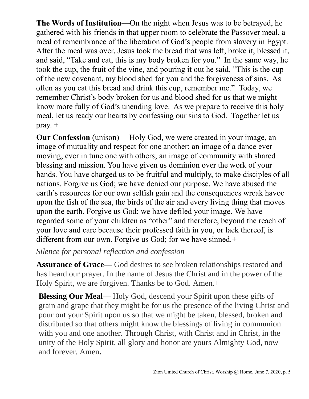**The Words of Institution**—On the night when Jesus was to be betrayed, he gathered with his friends in that upper room to celebrate the Passover meal, a meal of remembrance of the liberation of God's people from slavery in Egypt. After the meal was over, Jesus took the bread that was left, broke it, blessed it, and said, "Take and eat, this is my body broken for you." In the same way, he took the cup, the fruit of the vine, and pouring it out he said, "This is the cup of the new covenant, my blood shed for you and the forgiveness of sins. As often as you eat this bread and drink this cup, remember me." Today, we remember Christ's body broken for us and blood shed for us that we might know more fully of God's unending love. As we prepare to receive this holy meal, let us ready our hearts by confessing our sins to God. Together let us pray.  $+$ 

**Our Confession** (unison)— Holy God, we were created in your image, an image of mutuality and respect for one another; an image of a dance ever moving, ever in tune one with others; an image of community with shared blessing and mission. You have given us dominion over the work of your hands. You have charged us to be fruitful and multiply, to make disciples of all nations. Forgive us God; we have denied our purpose. We have abused the earth's resources for our own selfish gain and the consequences wreak havoc upon the fish of the sea, the birds of the air and every living thing that moves upon the earth. Forgive us God; we have defiled your image. We have regarded some of your children as "other" and therefore, beyond the reach of your love and care because their professed faith in you, or lack thereof, is different from our own. Forgive us God; for we have sinned.+

### *Silence for personal reflection and confession*

**Assurance of Grace—** God desires to see broken relationships restored and has heard our prayer. In the name of Jesus the Christ and in the power of the Holy Spirit, we are forgiven. Thanks be to God. Amen.+

**Blessing Our Meal**— Holy God, descend your Spirit upon these gifts of grain and grape that they might be for us the presence of the living Christ and pour out your Spirit upon us so that we might be taken, blessed, broken and distributed so that others might know the blessings of living in communion with you and one another. Through Christ, with Christ and in Christ, in the unity of the Holy Spirit, all glory and honor are yours Almighty God, now and forever. Amen**.**